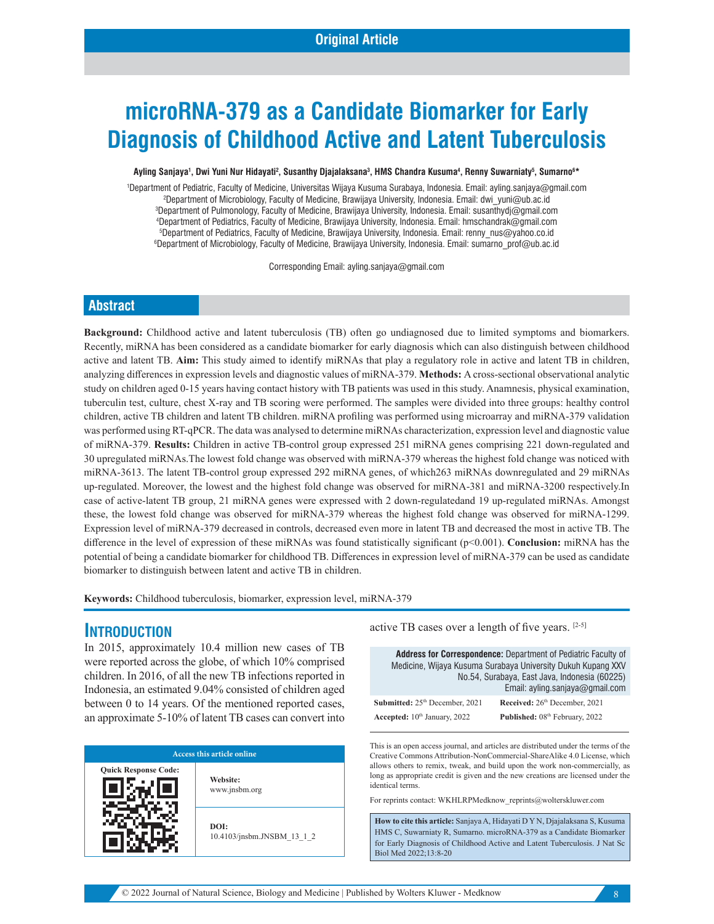# **microRNA-379 as a Candidate Biomarker for Early Diagnosis of Childhood Active and Latent Tuberculosis**

Ayling Sanjaya', Dwi Yuni Nur Hidayati<sup>2</sup>, Susanthy Djajalaksana<sup>3</sup>, HMS Chandra Kusuma<sup>4</sup>, Renny Suwarniaty<sup>5</sup>, Sumarno<sup>6</sup>\*

 Department of Pediatric, Faculty of Medicine, Universitas Wijaya Kusuma Surabaya, Indonesia. Email: ayling.sanjaya@gmail.com 2 2Department of Microbiology, Faculty of Medicine, Brawijaya University, Indonesia. Email: dwi\_yuni@ub.ac.id Department of Pulmonology, Faculty of Medicine, Brawijaya University, Indonesia. Email: susanthydj@gmail.com Department of Pediatrics, Faculty of Medicine, Brawijaya University, Indonesia. Email: hmschandrak@gmail.com Department of Pediatrics, Faculty of Medicine, Brawijaya University, Indonesia. Email: renny\_nus@yahoo.co.id Department of Microbiology, Faculty of Medicine, Brawijaya University, Indonesia. Email: sumarno\_prof@ub.ac.id

Corresponding Email: ayling.sanjaya@gmail.com

#### **Abstract**

**Background:** Childhood active and latent tuberculosis (TB) often go undiagnosed due to limited symptoms and biomarkers. Recently, miRNA has been considered as a candidate biomarker for early diagnosis which can also distinguish between childhood active and latent TB. **Aim:** This study aimed to identify miRNAs that play a regulatory role in active and latent TB in children, analyzing differences in expression levels and diagnostic values of miRNA-379. **Methods:** A cross-sectional observational analytic study on children aged 0-15 years having contact history with TB patients was used in this study. Anamnesis, physical examination, tuberculin test, culture, chest X-ray and TB scoring were performed. The samples were divided into three groups: healthy control children, active TB children and latent TB children. miRNA profiling was performed using microarray and miRNA-379 validation was performed using RT-qPCR. The data was analysed to determine miRNAs characterization, expression level and diagnostic value of miRNA-379. **Results:** Children in active TB-control group expressed 251 miRNA genes comprising 221 down-regulated and 30 upregulated miRNAs.The lowest fold change was observed with miRNA-379 whereas the highest fold change was noticed with miRNA-3613. The latent TB-control group expressed 292 miRNA genes, of which263 miRNAs downregulated and 29 miRNAs up-regulated. Moreover, the lowest and the highest fold change was observed for miRNA-381 and miRNA-3200 respectively.In case of active-latent TB group, 21 miRNA genes were expressed with 2 down-regulatedand 19 up-regulated miRNAs. Amongst these, the lowest fold change was observed for miRNA-379 whereas the highest fold change was observed for miRNA-1299. Expression level of miRNA-379 decreased in controls, decreased even more in latent TB and decreased the most in active TB. The difference in the level of expression of these miRNAs was found statistically significant (p<0.001). **Conclusion:** miRNA has the potential of being a candidate biomarker for childhood TB. Differences in expression level of miRNA-379 can be used as candidate biomarker to distinguish between latent and active TB in children.

**Keywords:** Childhood tuberculosis, biomarker, expression level, miRNA-379

#### **INTRODUCTION**

In 2015, approximately 10.4 million new cases of TB were reported across the globe, of which 10% comprised children. In 2016, of all the new TB infections reported in Indonesia, an estimated 9.04% consisted of children aged between 0 to 14 years. Of the mentioned reported cases, an approximate 5-10% of latent TB cases can convert into

| <b>Access this article online</b> |                                    |  |  |  |  |
|-----------------------------------|------------------------------------|--|--|--|--|
| <b>Quick Response Code:</b>       | Website:<br>www.jnsbm.org          |  |  |  |  |
|                                   | DOI:<br>10.4103/jnsbm.JNSBM 13 1 2 |  |  |  |  |

active TB cases over a length of five years. [2-5]

**Address for Correspondence:** Department of Pediatric Faculty of Medicine, Wijaya Kusuma Surabaya University Dukuh Kupang XXV No.54, Surabaya, East Java, Indonesia (60225) Email: ayling.sanjaya@gmail.com **Submitted:**  $25^{\text{th}}$  December, 2021 **Received:**  $26^{\text{th}}$  December, 2021 Accepted:  $10^{th}$  January, 2022 **Published:**  $08^{th}$  February, 2022

This is an open access journal, and articles are distributed under the terms of the Creative Commons Attribution‑NonCommercial‑ShareAlike 4.0 License, which allows others to remix, tweak, and build upon the work non‑commercially, as long as appropriate credit is given and the new creations are licensed under the identical terms.

For reprints contact: WKHLRPMedknow\_reprints@wolterskluwer.com

**How to cite this article:** Sanjaya A, Hidayati D Y N, Djajalaksana S, Kusuma HMS C, Suwarniaty R, Sumarno. microRNA-379 as a Candidate Biomarker for Early Diagnosis of Childhood Active and Latent Tuberculosis. J Nat Sc Biol Med 2022;13:8-20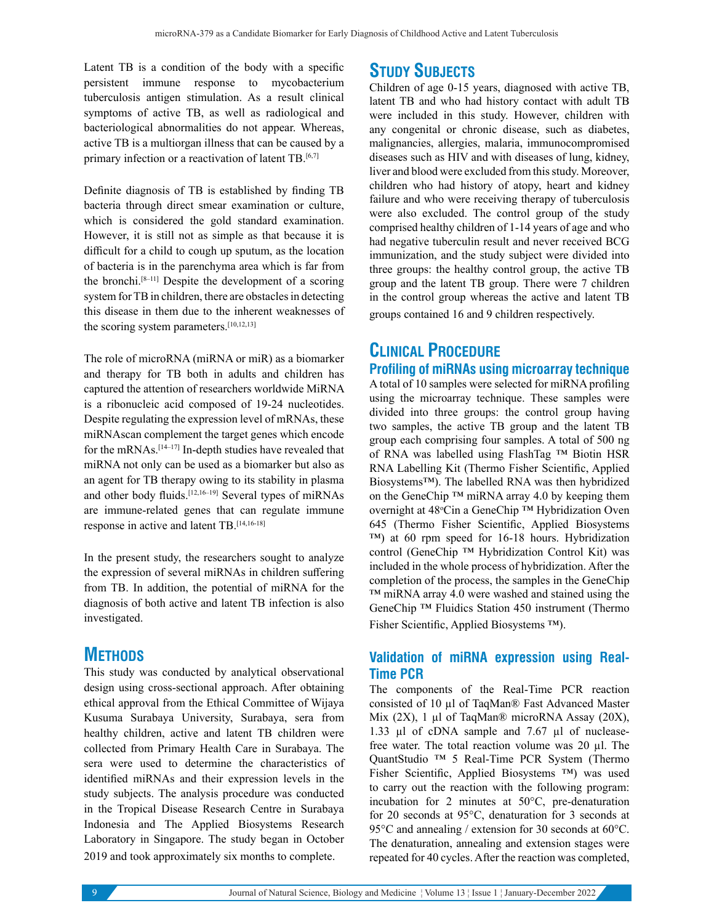Latent TB is a condition of the body with a specific persistent immune response to mycobacterium tuberculosis antigen stimulation. As a result clinical symptoms of active TB, as well as radiological and bacteriological abnormalities do not appear. Whereas, active TB is a multiorgan illness that can be caused by a primary infection or a reactivation of latent TB.<sup>[6,7]</sup>

Definite diagnosis of TB is established by finding TB bacteria through direct smear examination or culture, which is considered the gold standard examination. However, it is still not as simple as that because it is difficult for a child to cough up sputum, as the location of bacteria is in the parenchyma area which is far from the bronchi. $[8-11]$  Despite the development of a scoring system for TB in children, there are obstacles in detecting this disease in them due to the inherent weaknesses of the scoring system parameters.<sup>[10,12,13]</sup>

The role of microRNA (miRNA or miR) as a biomarker and therapy for TB both in adults and children has captured the attention of researchers worldwide MiRNA is a ribonucleic acid composed of 19-24 nucleotides. Despite regulating the expression level of mRNAs, these miRNAscan complement the target genes which encode for the mRNAs.[14–17] In-depth studies have revealed that miRNA not only can be used as a biomarker but also as an agent for TB therapy owing to its stability in plasma and other body fluids.[12,16–19] Several types of miRNAs are immune-related genes that can regulate immune response in active and latent TB.[14,16-18]

In the present study, the researchers sought to analyze the expression of several miRNAs in children suffering from TB. In addition, the potential of miRNA for the diagnosis of both active and latent TB infection is also investigated.

## **METHODS**

This study was conducted by analytical observational design using cross-sectional approach. After obtaining ethical approval from the Ethical Committee of Wijaya Kusuma Surabaya University, Surabaya, sera from healthy children, active and latent TB children were collected from Primary Health Care in Surabaya. The sera were used to determine the characteristics of identified miRNAs and their expression levels in the study subjects. The analysis procedure was conducted in the Tropical Disease Research Centre in Surabaya Indonesia and The Applied Biosystems Research Laboratory in Singapore. The study began in October 2019 and took approximately six months to complete.

## **STUDY SUBJECTS**

Children of age 0-15 years, diagnosed with active TB, latent TB and who had history contact with adult TB were included in this study. However, children with any congenital or chronic disease, such as diabetes, malignancies, allergies, malaria, immunocompromised diseases such as HIV and with diseases of lung, kidney, liver and blood were excluded from this study. Moreover, children who had history of atopy, heart and kidney failure and who were receiving therapy of tuberculosis were also excluded. The control group of the study comprised healthy children of 1-14 years of age and who had negative tuberculin result and never received BCG immunization, and the study subject were divided into three groups: the healthy control group, the active TB group and the latent TB group. There were 7 children in the control group whereas the active and latent TB groups contained 16 and 9 children respectively.

# **CLINICAL PROCEDURE**

**Profiling of miRNAs using microarray technique** A total of 10 samples were selected for miRNA profiling using the microarray technique. These samples were divided into three groups: the control group having two samples, the active TB group and the latent TB group each comprising four samples. A total of 500 ng of RNA was labelled using FlashTag ™ Biotin HSR RNA Labelling Kit (Thermo Fisher Scientific, Applied Biosystems™). The labelled RNA was then hybridized on the GeneChip ™ miRNA array 4.0 by keeping them overnight at 48°Cin a GeneChip ™ Hybridization Oven 645 (Thermo Fisher Scientific, Applied Biosystems ™) at 60 rpm speed for 16-18 hours. Hybridization control (GeneChip ™ Hybridization Control Kit) was included in the whole process of hybridization. After the completion of the process, the samples in the GeneChip ™ miRNA array 4.0 were washed and stained using the GeneChip ™ Fluidics Station 450 instrument (Thermo Fisher Scientific, Applied Biosystems ™).

#### **Validation of miRNA expression using Real-Time PCR**

The components of the Real-Time PCR reaction consisted of 10 µl of TaqMan® Fast Advanced Master Mix (2X), 1 µl of TaqMan® microRNA Assay (20X), 1.33 µl of cDNA sample and 7.67 µl of nucleasefree water. The total reaction volume was 20 µl. The QuantStudio ™ 5 Real-Time PCR System (Thermo Fisher Scientific, Applied Biosystems ™) was used to carry out the reaction with the following program: incubation for 2 minutes at 50°C, pre-denaturation for 20 seconds at 95°C, denaturation for 3 seconds at 95°C and annealing / extension for 30 seconds at 60°C. The denaturation, annealing and extension stages were repeated for 40 cycles. After the reaction was completed,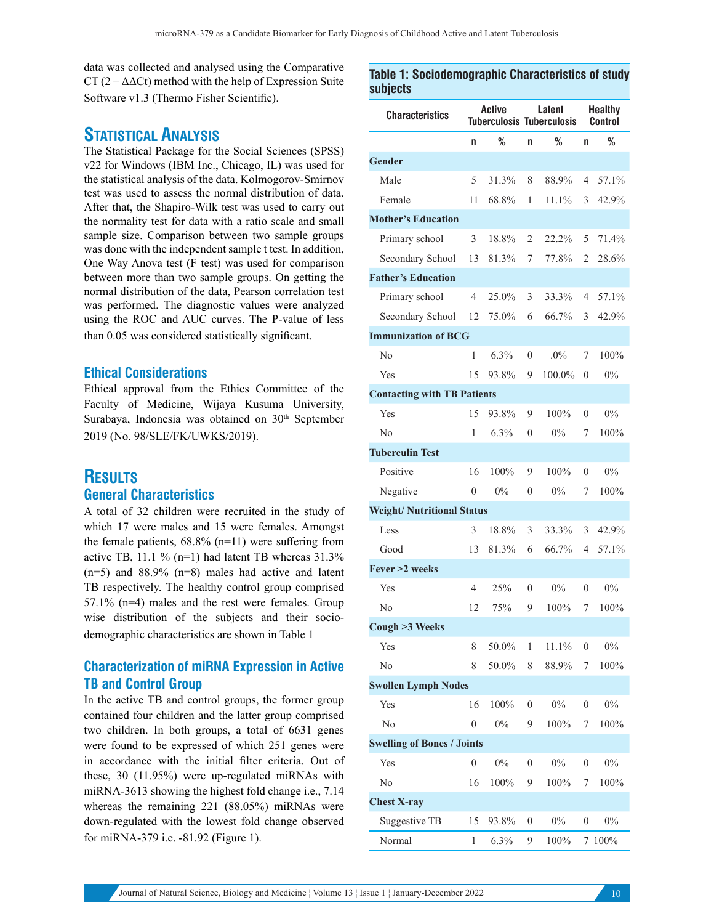data was collected and analysed using the Comparative CT ( $2 - \Delta\Delta$ Ct) method with the help of Expression Suite Software v1.3 (Thermo Fisher Scientific).

#### **STATISTICAL ANALYSIS**

The Statistical Package for the Social Sciences (SPSS) v22 for Windows (IBM Inc., Chicago, IL) was used for the statistical analysis of the data. Kolmogorov-Smirnov test was used to assess the normal distribution of data. After that, the Shapiro-Wilk test was used to carry out the normality test for data with a ratio scale and small sample size. Comparison between two sample groups was done with the independent sample t test. In addition, One Way Anova test (F test) was used for comparison between more than two sample groups. On getting the normal distribution of the data, Pearson correlation test was performed. The diagnostic values were analyzed using the ROC and AUC curves. The P-value of less than 0.05 was considered statistically significant.

#### **Ethical Considerations**

Ethical approval from the Ethics Committee of the Faculty of Medicine, Wijaya Kusuma University, Surabaya, Indonesia was obtained on 30<sup>th</sup> September 2019 (No. 98/SLE/FK/UWKS/2019).

# **RESULTS**

#### **General Characteristics**

A total of 32 children were recruited in the study of which 17 were males and 15 were females. Amongst the female patients,  $68.8\%$  (n=11) were suffering from active TB, 11.1 % (n=1) had latent TB whereas  $31.3\%$  $(n=5)$  and 88.9%  $(n=8)$  males had active and latent TB respectively. The healthy control group comprised 57.1% (n=4) males and the rest were females. Group wise distribution of the subjects and their sociodemographic characteristics are shown in Table 1

#### **Characterization of miRNA Expression in Active TB and Control Group**

In the active TB and control groups, the former group contained four children and the latter group comprised two children. In both groups, a total of 6631 genes were found to be expressed of which 251 genes were in accordance with the initial filter criteria. Out of these, 30 (11.95%) were up-regulated miRNAs with miRNA-3613 showing the highest fold change i.e., 7.14 whereas the remaining 221 (88.05%) miRNAs were down-regulated with the lowest fold change observed for miRNA-379 i.e. -81.92 (Figure 1).

**Table 1: Sociodemographic Characteristics of study subjects**

| <b>Characteristics</b>             | Active<br><b>Tuberculosis Tuberculosis</b> |         |                  | Latent   | <b>Healthy</b><br>Control |         |  |  |
|------------------------------------|--------------------------------------------|---------|------------------|----------|---------------------------|---------|--|--|
|                                    | n                                          | %       | n                | %        | n                         | %       |  |  |
| <b>Gender</b>                      |                                            |         |                  |          |                           |         |  |  |
| Male                               | 5                                          | 31.3%   | 8                | 88.9%    | 4                         | 57.1%   |  |  |
| Female                             | 11                                         | 68.8%   | 1                | $11.1\%$ | 3                         | 42.9%   |  |  |
| <b>Mother's Education</b>          |                                            |         |                  |          |                           |         |  |  |
| Primary school                     | 3                                          | 18.8%   | $\overline{2}$   | $22.2\%$ | 5                         | 71.4%   |  |  |
| Secondary School                   | 13                                         | 81.3%   | 7                | 77.8%    | 2                         | 28.6%   |  |  |
| <b>Father's Education</b>          |                                            |         |                  |          |                           |         |  |  |
| Primary school                     | 4                                          | 25.0%   | 3                | 33.3%    | 4                         | 57.1%   |  |  |
| Secondary School                   | 12                                         | 75.0%   | 6                | 66.7%    | 3                         | 42.9%   |  |  |
| <b>Immunization of BCG</b>         |                                            |         |                  |          |                           |         |  |  |
| No                                 | 1                                          | $6.3\%$ | $\theta$         | $.0\%$   | 7                         | 100%    |  |  |
| Yes                                | 15                                         | 93.8%   | 9                | 100.0%   | $\theta$                  | $0\%$   |  |  |
| <b>Contacting with TB Patients</b> |                                            |         |                  |          |                           |         |  |  |
| Yes                                | 15                                         | 93.8%   | 9                | 100%     | 0                         | $0\%$   |  |  |
| No                                 | 1                                          | 6.3%    | $\overline{0}$   | $0\%$    | 7                         | 100%    |  |  |
| <b>Tuberculin Test</b>             |                                            |         |                  |          |                           |         |  |  |
| Positive                           | 16                                         | 100%    | 9                | 100%     | 0                         | $0\%$   |  |  |
| Negative                           | $\theta$                                   | $0\%$   | $\overline{0}$   | $0\%$    | 7                         | 100%    |  |  |
| <b>Weight/ Nutritional Status</b>  |                                            |         |                  |          |                           |         |  |  |
| Less                               | 3                                          | 18.8%   | 3                | 33.3%    | 3                         | 42.9%   |  |  |
| Good                               | 13                                         | 81.3%   | 6                | 66.7%    | 4                         | 57.1%   |  |  |
| Fever >2 weeks                     |                                            |         |                  |          |                           |         |  |  |
| Yes                                | 4                                          | 25%     | $\theta$         | $0\%$    | $\theta$                  | $0\%$   |  |  |
| No                                 | 12                                         | 75%     | 9                | $100\%$  | 7                         | 100%    |  |  |
| Cough >3 Weeks                     |                                            |         |                  |          |                           |         |  |  |
| Yes                                | 8                                          | 50.0%   | 1                | 11.1%    | 0                         | $0\%$   |  |  |
| No                                 | 8                                          | 50.0%   | 8                | 88.9%    | 7                         | 100%    |  |  |
| <b>Swollen Lymph Nodes</b>         |                                            |         |                  |          |                           |         |  |  |
| Yes                                | 16                                         | 100%    | $\boldsymbol{0}$ | $0\%$    | $\boldsymbol{0}$          | $0\%$   |  |  |
| No                                 | $\mathbf{0}$                               | $0\%$   | 9                | 100%     | 7                         | 100%    |  |  |
| <b>Swelling of Bones / Joints</b>  |                                            |         |                  |          |                           |         |  |  |
| Yes                                | $\mathbf{0}$                               | $0\%$   | $\boldsymbol{0}$ | 0%       | $\boldsymbol{0}$          | $0\%$   |  |  |
| No                                 | 16                                         | 100%    | 9                | 100%     | 7                         | 100%    |  |  |
| <b>Chest X-ray</b>                 |                                            |         |                  |          |                           |         |  |  |
| Suggestive TB                      | 15                                         | 93.8%   | $\boldsymbol{0}$ | 0%       | 0                         | $0\%$   |  |  |
| Normal                             | 1                                          | 6.3%    | 9                | 100%     | 7                         | $100\%$ |  |  |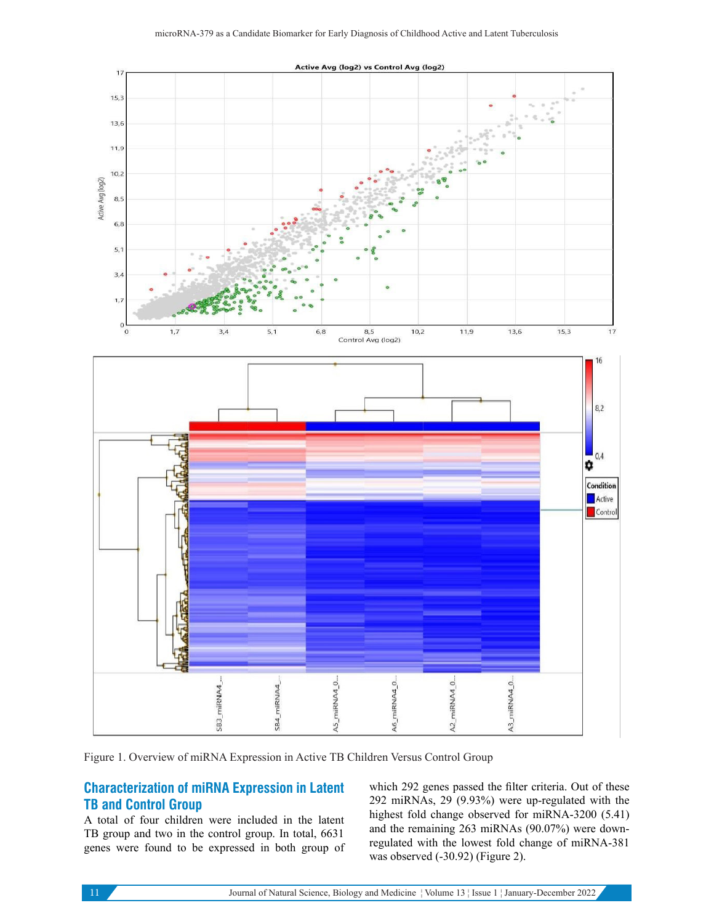

Figure 1. Overview of miRNA Expression in Active TB Children Versus Control Group

#### **Characterization of miRNA Expression in Latent TB and Control Group**

A total of four children were included in the latent TB group and two in the control group. In total, 6631 genes were found to be expressed in both group of which 292 genes passed the filter criteria. Out of these 292 miRNAs, 29 (9.93%) were up-regulated with the highest fold change observed for miRNA-3200 (5.41) and the remaining 263 miRNAs (90.07%) were downregulated with the lowest fold change of miRNA-381 was observed (-30.92) (Figure 2).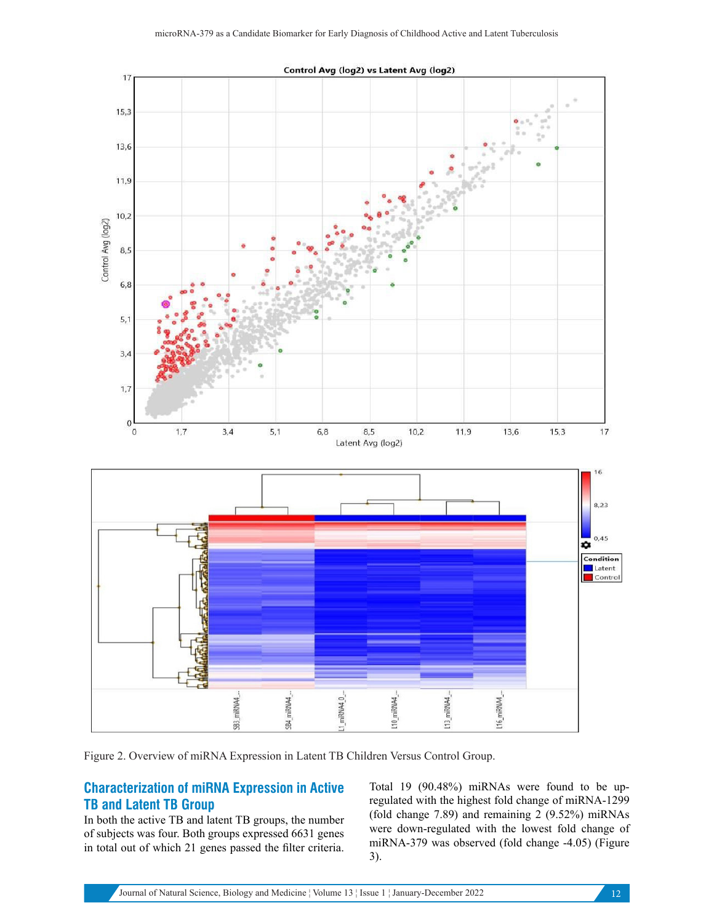

Figure 2. Overview of miRNA Expression in Latent TB Children Versus Control Group.

#### **Characterization of miRNA Expression in Active TB and Latent TB Group**

In both the active TB and latent TB groups, the number of subjects was four. Both groups expressed 6631 genes in total out of which 21 genes passed the filter criteria.

Total 19 (90.48%) miRNAs were found to be upregulated with the highest fold change of miRNA-1299 (fold change 7.89) and remaining 2 (9.52%) miRNAs were down-regulated with the lowest fold change of miRNA-379 was observed (fold change -4.05) (Figure 3).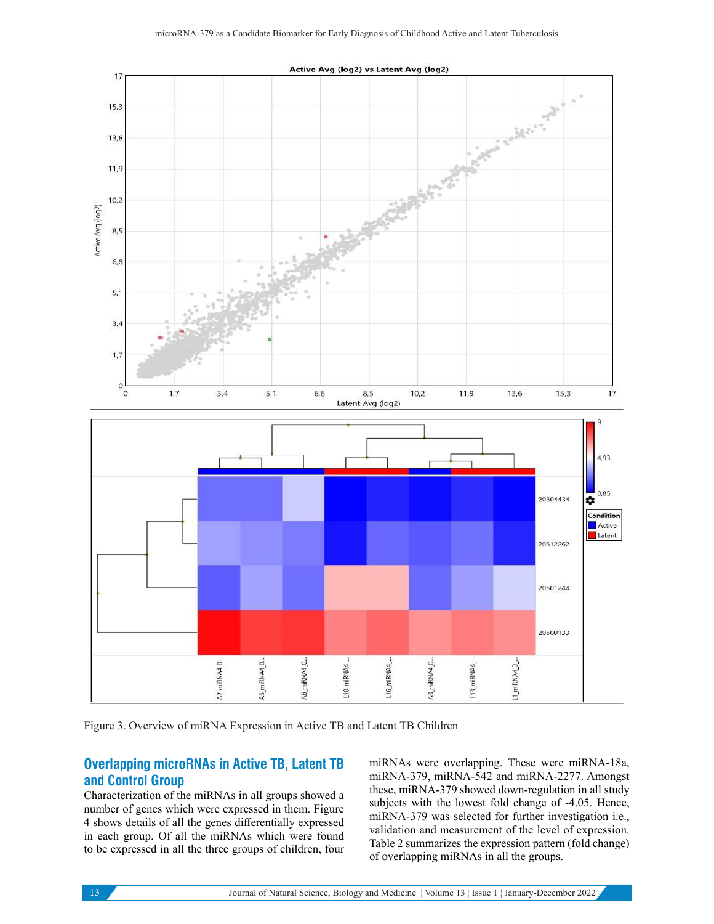

Figure 3. Overview of miRNA Expression in Active TB and Latent TB Children

#### **Overlapping microRNAs in Active TB, Latent TB and Control Group**

Characterization of the miRNAs in all groups showed a number of genes which were expressed in them. Figure 4 shows details of all the genes differentially expressed in each group. Of all the miRNAs which were found to be expressed in all the three groups of children, four

miRNAs were overlapping. These were miRNA-18a, miRNA-379, miRNA-542 and miRNA-2277. Amongst these, miRNA-379 showed down-regulation in all study subjects with the lowest fold change of -4.05. Hence, miRNA-379 was selected for further investigation i.e., validation and measurement of the level of expression. Table 2 summarizes the expression pattern (fold change) of overlapping miRNAs in all the groups.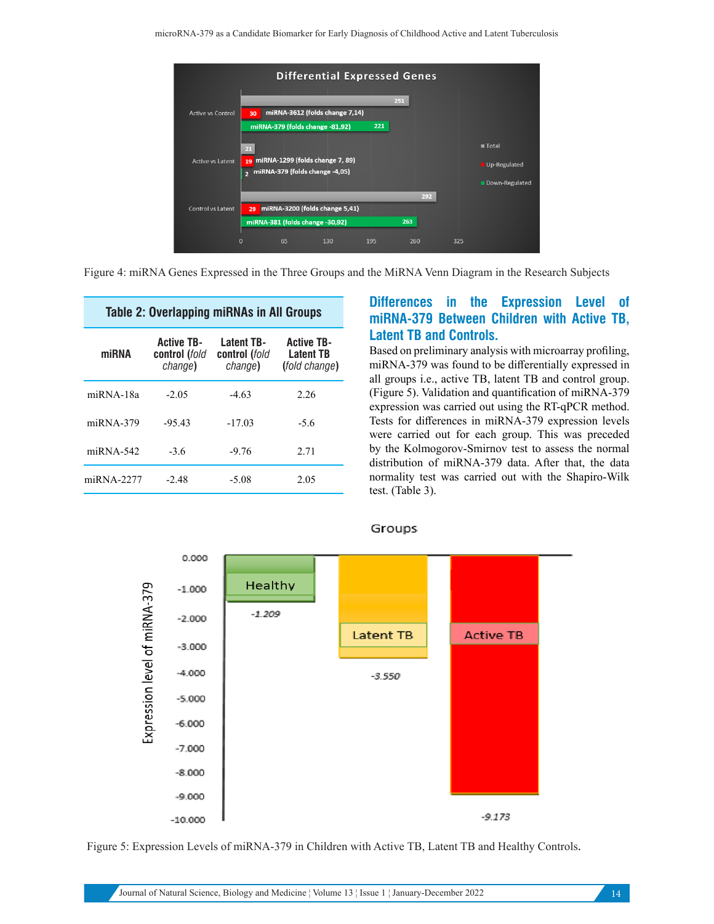

Figure 4: miRNA Genes Expressed in the Three Groups and the MiRNA Venn Diagram in the Research Subjects

| <b>Table 2: Overlapping miRNAs in All Groups</b> |                                               |                                               |                                                               |  |  |  |  |  |  |
|--------------------------------------------------|-----------------------------------------------|-----------------------------------------------|---------------------------------------------------------------|--|--|--|--|--|--|
| miRNA                                            | <b>Active TB-</b><br>control (fold<br>change) | <b>Latent TB-</b><br>control (fold<br>change) | <b>Active TB-</b><br><b>Latent TB</b><br><i>(fold change)</i> |  |  |  |  |  |  |
| $miRNA-18a$                                      | $-2.05$                                       | $-4.63$                                       | 2.26                                                          |  |  |  |  |  |  |
| $miRNA-379$                                      | $-95.43$                                      | $-17.03$                                      | -5.6                                                          |  |  |  |  |  |  |
| $miRNA-542$                                      | $-3.6$                                        | $-9.76$                                       | 2.71                                                          |  |  |  |  |  |  |
| $m$ <sub>RNA</sub> -2277                         | $-2.48$                                       | $-5.08$                                       | 2.05                                                          |  |  |  |  |  |  |

#### **Differences in the Expression Level of miRNA-379 Between Children with Active TB, Latent TB and Controls.**

Based on preliminary analysis with microarray profiling, miRNA-379 was found to be differentially expressed in all groups i.e., active TB, latent TB and control group. (Figure 5). Validation and quantification of miRNA-379 expression was carried out using the RT-qPCR method. Tests for differences in miRNA-379 expression levels were carried out for each group. This was preceded by the Kolmogorov-Smirnov test to assess the normal distribution of miRNA-379 data. After that, the data normality test was carried out with the Shapiro-Wilk test. (Table 3).



#### Groups

Figure 5: Expression Levels of miRNA-379 in Children with Active TB, Latent TB and Healthy Controls.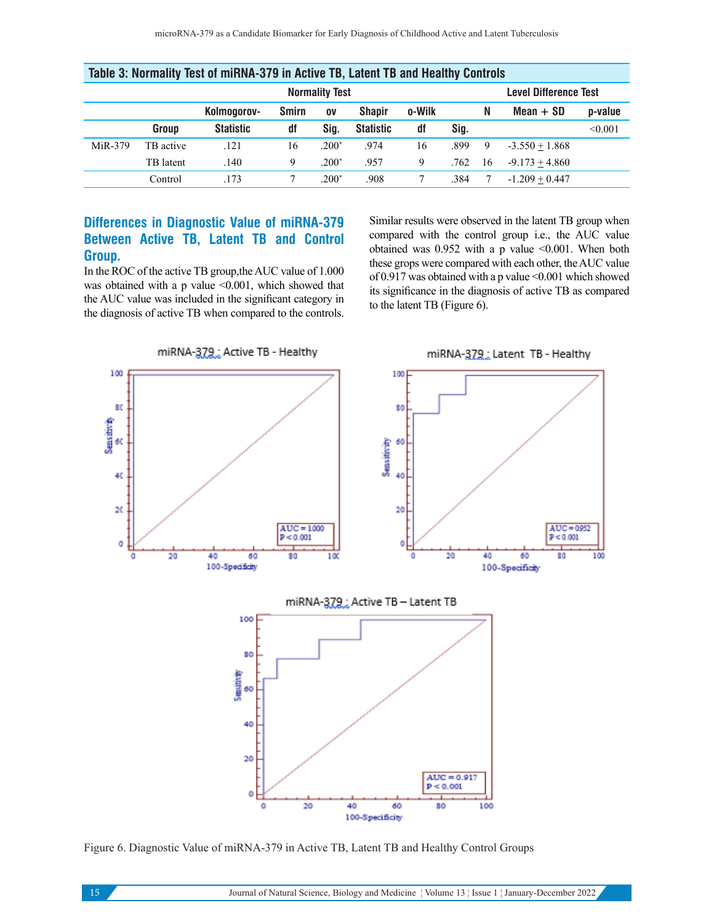| Table 3: Normality Test of Mirkna-379 in Active TB, Latent TB and Healthy Controls |                       |                  |              |         |                  |        |                              |    |                  |         |
|------------------------------------------------------------------------------------|-----------------------|------------------|--------------|---------|------------------|--------|------------------------------|----|------------------|---------|
|                                                                                    | <b>Normality Test</b> |                  |              |         |                  |        | <b>Level Difference Test</b> |    |                  |         |
|                                                                                    |                       | Kolmogorov-      | <b>Smirn</b> | 0V      | <b>Shapir</b>    | o-Wilk |                              | N  | $Mean + SD$      | p-value |
|                                                                                    | Group                 | <b>Statistic</b> | df           | Sig.    | <b>Statistic</b> | df     | Sig.                         |    |                  | < 0.001 |
| MiR-379                                                                            | TB active             | .121             | 16           | $.200*$ | .974             | 16     | .899                         | 9  | $-3.550 + 1.868$ |         |
|                                                                                    | TB latent             | .140             | 9            | $.200*$ | .957             | 9      | .762                         | 16 | $-9.173 + 4.860$ |         |
|                                                                                    | Control               | .173             |              | $.200*$ | .908             |        | .384                         |    | $-1.209 + 0.447$ |         |

#### **Table 3: Normality Test of miRNA-379 in Active TB, Latent TB and Healthy Controls**

#### **Differences in Diagnostic Value of miRNA-379 Between Active TB, Latent TB and Control Group.**

In the ROC of the active TB group,the AUC value of 1.000 was obtained with a p value  $\leq 0.001$ , which showed that the AUC value was included in the significant category in the diagnosis of active TB when compared to the controls. Similar results were observed in the latent TB group when compared with the control group i.e., the AUC value obtained was  $0.952$  with a p value <0.001. When both these grops were compared with each other, the AUC value of 0.917 was obtained with a p value  $\leq 0.001$  which showed its significance in the diagnosis of active TB as compared to the latent TB (Figure 6).



Figure 6. Diagnostic Value of miRNA-379 in Active TB, Latent TB and Healthy Control Groups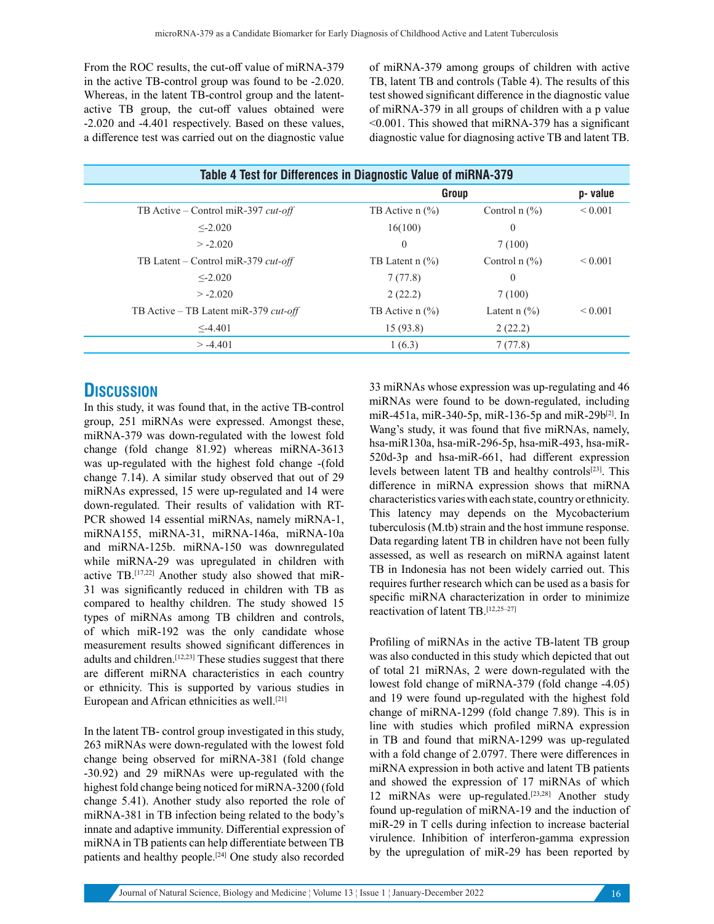From the ROC results, the cut-off value of miRNA-379 in the active TB-control group was found to be -2.020. Whereas, in the latent TB-control group and the latentactive TB group, the cut-off values obtained were -2.020 and -4.401 respectively. Based on these values, a difference test was carried out on the diagnostic value of miRNA-379 among groups of children with active TB, latent TB and controls (Table 4). The results of this test showed significant difference in the diagnostic value of miRNA-379 in all groups of children with a p value <0.001. This showed that miRNA-379 has a significant diagnostic value for diagnosing active TB and latent TB.

| Table 4 Test for Differences in Diagnostic Value of miRNA-379 |                                          |                                        |              |  |  |  |  |
|---------------------------------------------------------------|------------------------------------------|----------------------------------------|--------------|--|--|--|--|
|                                                               | Group                                    |                                        | p-value      |  |  |  |  |
| TB Active – Control miR-397 cut-off                           | TB Active $n$ $\frac{6}{6}$              | Control $n$ $\left(\frac{9}{0}\right)$ | ${}_{0.001}$ |  |  |  |  |
| $\leq$ -2.020                                                 | 16(100)                                  | $\theta$                               |              |  |  |  |  |
| $> -2.020$                                                    | $\overline{0}$                           | 7(100)                                 |              |  |  |  |  |
| TB Latent – Control miR-379 $cut-off$                         | TB Latent $n$ $\left(\frac{9}{6}\right)$ | Control $n$ $\left(\frac{9}{0}\right)$ | ${}_{0.001}$ |  |  |  |  |
| $\leq -2.020$                                                 | 7(77.8)                                  | $\theta$                               |              |  |  |  |  |
| $> -2.020$                                                    | 2(22.2)                                  | 7(100)                                 |              |  |  |  |  |
| TB Active - TB Latent miR-379 cut-off                         | TB Active $n$ $\frac{6}{6}$              | Latent $n$ $(\%)$                      | ${}_{0.001}$ |  |  |  |  |
| $\leq -4.401$                                                 | 15(93.8)                                 | 2(22.2)                                |              |  |  |  |  |
| $> -4.401$                                                    | 1(6.3)                                   | 7(77.8)                                |              |  |  |  |  |
|                                                               |                                          |                                        |              |  |  |  |  |

## **DISCUSSION**

In this study, it was found that, in the active TB-control group, 251 miRNAs were expressed. Amongst these, miRNA-379 was down-regulated with the lowest fold change (fold change 81.92) whereas miRNA-3613 was up-regulated with the highest fold change -(fold change 7.14). A similar study observed that out of 29 miRNAs expressed, 15 were up-regulated and 14 were down-regulated. Their results of validation with RT-PCR showed 14 essential miRNAs, namely miRNA-1, miRNA155, miRNA-31, miRNA-146a, miRNA-10a and miRNA-125b. miRNA-150 was downregulated while miRNA-29 was upregulated in children with active TB.[17,22] Another study also showed that miR-31 was significantly reduced in children with TB as compared to healthy children. The study showed 15 types of miRNAs among TB children and controls, of which miR-192 was the only candidate whose measurement results showed significant differences in adults and children.[12,23] These studies suggest that there are different miRNA characteristics in each country or ethnicity. This is supported by various studies in European and African ethnicities as well.<sup>[21]</sup>

In the latent TB- control group investigated in this study, 263 miRNAs were down-regulated with the lowest fold change being observed for miRNA-381 (fold change -30.92) and 29 miRNAs were up-regulated with the highest fold change being noticed for miRNA-3200 (fold change 5.41). Another study also reported the role of miRNA-381 in TB infection being related to the body's innate and adaptive immunity. Differential expression of miRNA in TB patients can help differentiate between TB patients and healthy people.<sup>[24]</sup> One study also recorded 33 miRNAs whose expression was up-regulating and 46 miRNAs were found to be down-regulated, including miR-451a, miR-340-5p, miR-136-5p and miR-29b<sup>[2]</sup>. In Wang's study, it was found that five miRNAs, namely, hsa-miR130a, hsa-miR-296-5p, hsa-miR-493, hsa-miR-520d-3p and hsa-miR-661, had different expression levels between latent TB and healthy controls[23]. This difference in miRNA expression shows that miRNA characteristics varies with each state, country or ethnicity. This latency may depends on the Mycobacterium tuberculosis (M.tb) strain and the host immune response. Data regarding latent TB in children have not been fully assessed, as well as research on miRNA against latent TB in Indonesia has not been widely carried out. This requires further research which can be used as a basis for specific miRNA characterization in order to minimize reactivation of latent TB.[12,25–27]

Profiling of miRNAs in the active TB-latent TB group was also conducted in this study which depicted that out of total 21 miRNAs, 2 were down-regulated with the lowest fold change of miRNA-379 (fold change -4.05) and 19 were found up-regulated with the highest fold change of miRNA-1299 (fold change 7.89). This is in line with studies which profiled miRNA expression in TB and found that miRNA-1299 was up-regulated with a fold change of 2.0797. There were differences in miRNA expression in both active and latent TB patients and showed the expression of 17 miRNAs of which 12 miRNAs were up-regulated.[23,28] Another study found up-regulation of miRNA-19 and the induction of miR-29 in T cells during infection to increase bacterial virulence. Inhibition of interferon-gamma expression by the upregulation of miR-29 has been reported by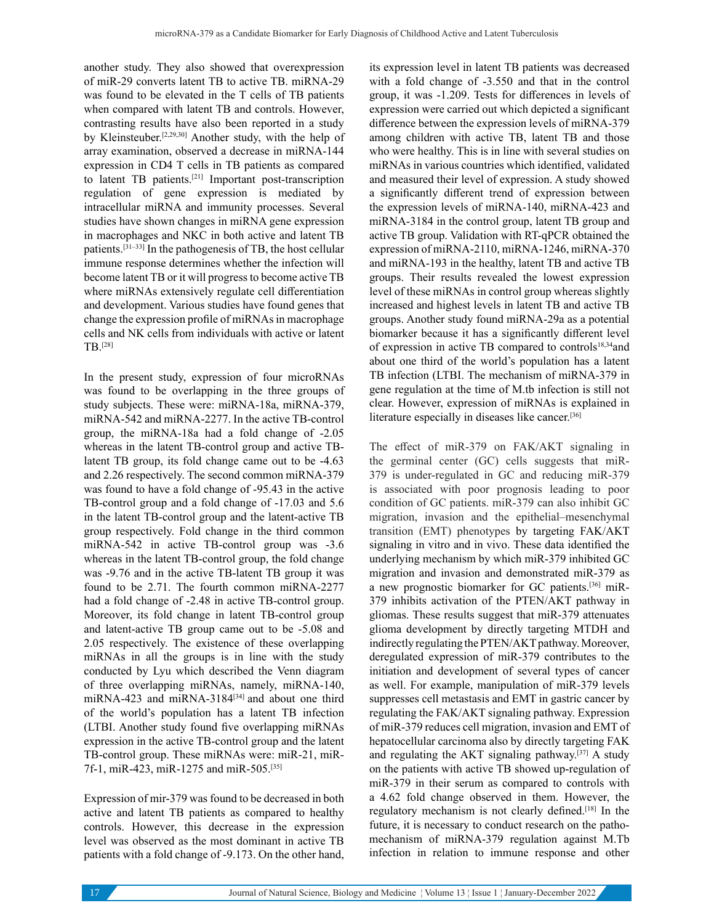another study. They also showed that overexpression of miR-29 converts latent TB to active TB. miRNA-29 was found to be elevated in the T cells of TB patients when compared with latent TB and controls. However, contrasting results have also been reported in a study by Kleinsteuber.[2,29,30] Another study, with the help of array examination, observed a decrease in miRNA-144 expression in CD4 T cells in TB patients as compared to latent TB patients.[21] Important post-transcription regulation of gene expression is mediated by intracellular miRNA and immunity processes. Several studies have shown changes in miRNA gene expression in macrophages and NKC in both active and latent TB patients.[31–33] In the pathogenesis of TB, the host cellular immune response determines whether the infection will become latent TB or it will progress to become active TB where miRNAs extensively regulate cell differentiation and development. Various studies have found genes that change the expression profile of miRNAs in macrophage cells and NK cells from individuals with active or latent TB.[28]

In the present study, expression of four microRNAs was found to be overlapping in the three groups of study subjects. These were: miRNA-18a, miRNA-379, miRNA-542 and miRNA-2277. In the active TB-control group, the miRNA-18a had a fold change of -2.05 whereas in the latent TB-control group and active TBlatent TB group, its fold change came out to be -4.63 and 2.26 respectively. The second common miRNA-379 was found to have a fold change of -95.43 in the active TB-control group and a fold change of -17.03 and 5.6 in the latent TB-control group and the latent-active TB group respectively. Fold change in the third common miRNA-542 in active TB-control group was -3.6 whereas in the latent TB-control group, the fold change was -9.76 and in the active TB-latent TB group it was found to be 2.71. The fourth common miRNA-2277 had a fold change of -2.48 in active TB-control group. Moreover, its fold change in latent TB-control group and latent-active TB group came out to be -5.08 and 2.05 respectively. The existence of these overlapping miRNAs in all the groups is in line with the study conducted by Lyu which described the Venn diagram of three overlapping miRNAs, namely, miRNA-140, miRNA-423 and miRNA-3184<a>[34]</a> and about one third of the world's population has a latent TB infection (LTBI. Another study found five overlapping miRNAs expression in the active TB-control group and the latent TB-control group. These miRNAs were: miR-21, miR-7f-1, miR-423, miR-1275 and miR-505.[35]

Expression of mir-379 was found to be decreased in both active and latent TB patients as compared to healthy controls. However, this decrease in the expression level was observed as the most dominant in active TB patients with a fold change of -9.173. On the other hand, its expression level in latent TB patients was decreased with a fold change of -3.550 and that in the control group, it was -1.209. Tests for differences in levels of expression were carried out which depicted a significant difference between the expression levels of miRNA-379 among children with active TB, latent TB and those who were healthy. This is in line with several studies on miRNAs in various countries which identified, validated and measured their level of expression. A study showed a significantly different trend of expression between the expression levels of miRNA-140, miRNA-423 and miRNA-3184 in the control group, latent TB group and active TB group. Validation with RT-qPCR obtained the expression of miRNA-2110, miRNA-1246, miRNA-370 and miRNA-193 in the healthy, latent TB and active TB groups. Their results revealed the lowest expression level of these miRNAs in control group whereas slightly increased and highest levels in latent TB and active TB groups. Another study found miRNA-29a as a potential biomarker because it has a significantly different level of expression in active TB compared to controls18,34and about one third of the world's population has a latent TB infection (LTBI. The mechanism of miRNA-379 in gene regulation at the time of M.tb infection is still not clear. However, expression of miRNAs is explained in literature especially in diseases like cancer.[36]

The effect of miR-379 on FAK/AKT signaling in the germinal center (GC) cells suggests that miR-379 is under-regulated in GC and reducing miR-379 is associated with poor prognosis leading to poor condition of GC patients. miR-379 can also inhibit GC migration, invasion and the epithelial–mesenchymal transition (EMT) phenotypes by targeting FAK/AKT signaling in vitro and in vivo. These data identified the underlying mechanism by which miR-379 inhibited GC migration and invasion and demonstrated miR-379 as a new prognostic biomarker for GC patients.[36] miR-379 inhibits activation of the PTEN/AKT pathway in gliomas. These results suggest that miR-379 attenuates glioma development by directly targeting MTDH and indirectly regulating the PTEN/AKT pathway. Moreover, deregulated expression of miR-379 contributes to the initiation and development of several types of cancer as well. For example, manipulation of miR-379 levels suppresses cell metastasis and EMT in gastric cancer by regulating the FAK/AKT signaling pathway. Expression of miR-379 reduces cell migration, invasion and EMT of hepatocellular carcinoma also by directly targeting FAK and regulating the AKT signaling pathway.[37] A study on the patients with active TB showed up-regulation of miR-379 in their serum as compared to controls with a 4.62 fold change observed in them. However, the regulatory mechanism is not clearly defined.[18] In the future, it is necessary to conduct research on the pathomechanism of miRNA-379 regulation against M.Tb infection in relation to immune response and other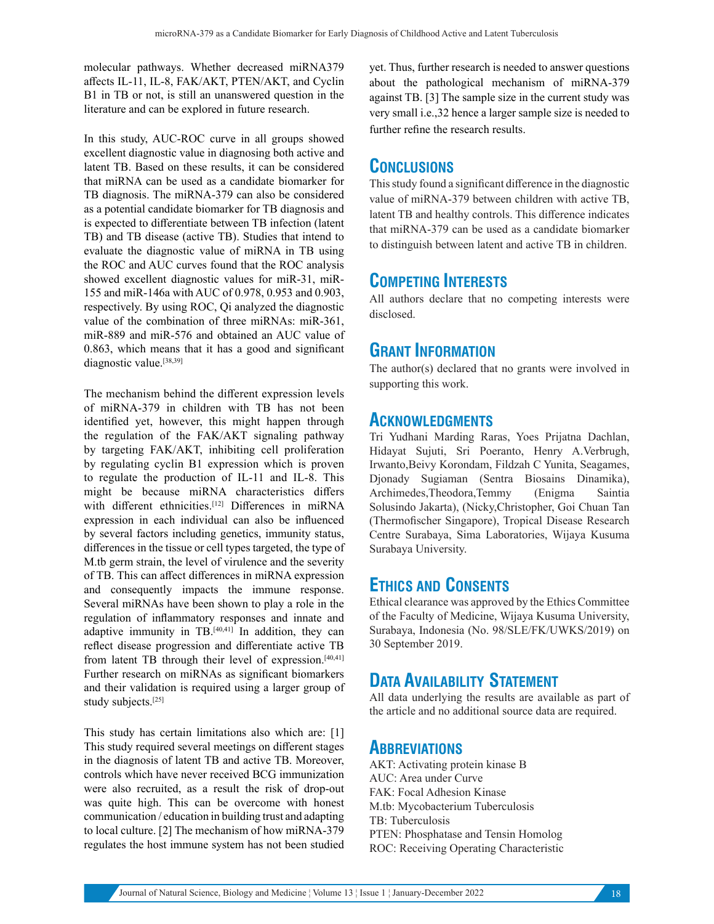molecular pathways. Whether decreased miRNA379 affects IL-11, IL-8, FAK/AKT, PTEN/AKT, and Cyclin B1 in TB or not, is still an unanswered question in the literature and can be explored in future research.

In this study, AUC-ROC curve in all groups showed excellent diagnostic value in diagnosing both active and latent TB. Based on these results, it can be considered that miRNA can be used as a candidate biomarker for TB diagnosis. The miRNA-379 can also be considered as a potential candidate biomarker for TB diagnosis and is expected to differentiate between TB infection (latent TB) and TB disease (active TB). Studies that intend to evaluate the diagnostic value of miRNA in TB using the ROC and AUC curves found that the ROC analysis showed excellent diagnostic values for miR-31, miR-155 and miR-146a with AUC of 0.978, 0.953 and 0.903, respectively. By using ROC, Qi analyzed the diagnostic value of the combination of three miRNAs: miR-361, miR-889 and miR-576 and obtained an AUC value of 0.863, which means that it has a good and significant diagnostic value.<sup>[38,39]</sup>

The mechanism behind the different expression levels of miRNA-379 in children with TB has not been identified yet, however, this might happen through the regulation of the FAK/AKT signaling pathway by targeting FAK/AKT, inhibiting cell proliferation by regulating cyclin B1 expression which is proven to regulate the production of IL-11 and IL-8. This might be because miRNA characteristics differs with different ethnicities.<sup>[12]</sup> Differences in miRNA expression in each individual can also be influenced by several factors including genetics, immunity status, differences in the tissue or cell types targeted, the type of M.tb germ strain, the level of virulence and the severity of TB. This can affect differences in miRNA expression and consequently impacts the immune response. Several miRNAs have been shown to play a role in the regulation of inflammatory responses and innate and adaptive immunity in  $TB.$ <sup>[40,41]</sup> In addition, they can reflect disease progression and differentiate active TB from latent TB through their level of expression.[40,41] Further research on miRNAs as significant biomarkers and their validation is required using a larger group of study subjects.[25]

This study has certain limitations also which are: [1] This study required several meetings on different stages in the diagnosis of latent TB and active TB. Moreover, controls which have never received BCG immunization were also recruited, as a result the risk of drop-out was quite high. This can be overcome with honest communication / education in building trust and adapting to local culture. [2] The mechanism of how miRNA-379 regulates the host immune system has not been studied yet. Thus, further research is needed to answer questions about the pathological mechanism of miRNA-379 against TB. [3] The sample size in the current study was very small i.e.,32 hence a larger sample size is needed to further refine the research results.

### **CONCLUSIONS**

This study found a significant difference in the diagnostic value of miRNA-379 between children with active TB, latent TB and healthy controls. This difference indicates that miRNA-379 can be used as a candidate biomarker to distinguish between latent and active TB in children.

## **COMPETING INTERESTS**

All authors declare that no competing interests were disclosed.

# **GRANT INFORMATION**

The author(s) declared that no grants were involved in supporting this work.

#### **ACKNOWLEDGMENTS**

Tri Yudhani Marding Raras, Yoes Prijatna Dachlan, Hidayat Sujuti, Sri Poeranto, Henry A.Verbrugh, Irwanto,Beivy Korondam, Fildzah C Yunita, Seagames, Djonady Sugiaman (Sentra Biosains Dinamika), Archimedes,Theodora,Temmy (Enigma Saintia Solusindo Jakarta), (Nicky,Christopher, Goi Chuan Tan (Thermofischer Singapore), Tropical Disease Research Centre Surabaya, Sima Laboratories, Wijaya Kusuma Surabaya University.

## **ETHICS AND CONSENTS**

Ethical clearance was approved by the Ethics Committee of the Faculty of Medicine, Wijaya Kusuma University, Surabaya, Indonesia (No. 98/SLE/FK/UWKS/2019) on 30 September 2019.

# **DATA AVAILABILITY STATEMENT**

All data underlying the results are available as part of the article and no additional source data are required.

## **ABBREVIATIONS**

AKT: Activating protein kinase B AUC: Area under Curve FAK: Focal Adhesion Kinase M.tb: Mycobacterium Tuberculosis TB: Tuberculosis PTEN: Phosphatase and Tensin Homolog ROC: Receiving Operating Characteristic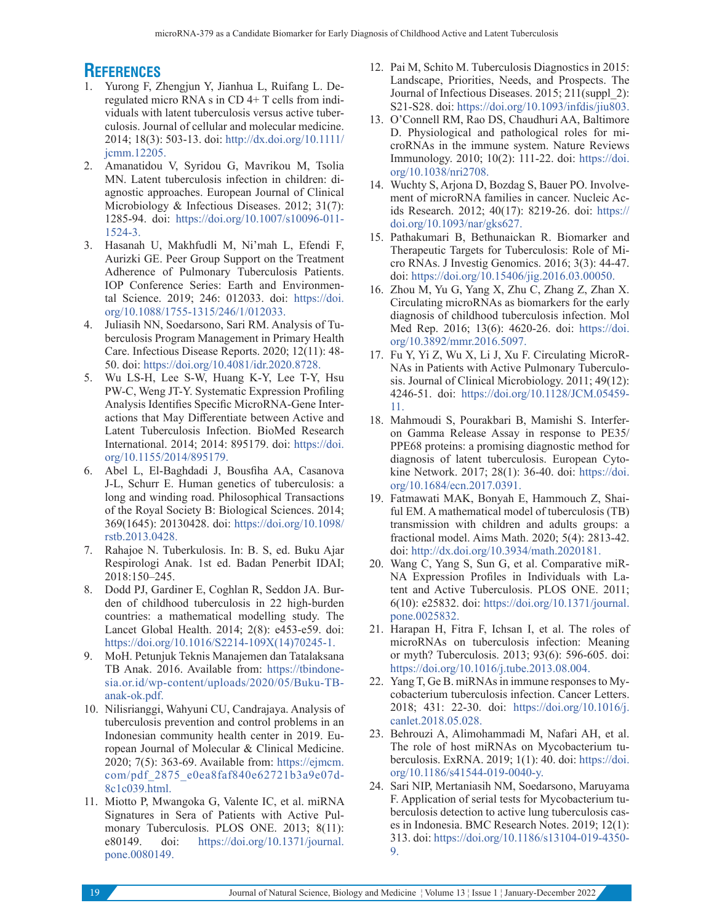# **REFERENCES**

- 1. Yurong F, Zhengjun Y, Jianhua L, Ruifang L. Deregulated micro RNA s in CD 4+ T cells from individuals with latent tuberculosis versus active tuberculosis. Journal of cellular and molecular medicine. 2014; 18(3): 503-13. doi: http://dx.doi.org/10.1111/ jcmm.12205.
- 2. Amanatidou V, Syridou G, Mavrikou M, Tsolia MN. Latent tuberculosis infection in children: diagnostic approaches. European Journal of Clinical Microbiology & Infectious Diseases. 2012; 31(7): 1285-94. doi: https://doi.org/10.1007/s10096-011- 1524-3.
- 3. Hasanah U, Makhfudli M, Ni'mah L, Efendi F, Aurizki GE. Peer Group Support on the Treatment Adherence of Pulmonary Tuberculosis Patients. IOP Conference Series: Earth and Environmental Science. 2019; 246: 012033. doi: https://doi. org/10.1088/1755-1315/246/1/012033.
- 4. Juliasih NN, Soedarsono, Sari RM. Analysis of Tuberculosis Program Management in Primary Health Care. Infectious Disease Reports. 2020; 12(11): 48- 50. doi: https://doi.org/10.4081/idr.2020.8728.
- 5. Wu LS-H, Lee S-W, Huang K-Y, Lee T-Y, Hsu PW-C, Weng JT-Y. Systematic Expression Profiling Analysis Identifies Specific MicroRNA-Gene Interactions that May Differentiate between Active and Latent Tuberculosis Infection. BioMed Research International. 2014; 2014: 895179. doi: https://doi. org/10.1155/2014/895179.
- 6. Abel L, El-Baghdadi J, Bousfiha AA, Casanova J-L, Schurr E. Human genetics of tuberculosis: a long and winding road. Philosophical Transactions of the Royal Society B: Biological Sciences. 2014; 369(1645): 20130428. doi: https://doi.org/10.1098/ rstb.2013.0428.
- 7. Rahajoe N. Tuberkulosis. In: B. S, ed. Buku Ajar Respirologi Anak. 1st ed. Badan Penerbit IDAI; 2018:150–245.
- 8. Dodd PJ, Gardiner E, Coghlan R, Seddon JA. Burden of childhood tuberculosis in 22 high-burden countries: a mathematical modelling study. The Lancet Global Health. 2014; 2(8): e453-e59. doi: https://doi.org/10.1016/S2214-109X(14)70245-1.
- 9. MoH. Petunjuk Teknis Manajemen dan Tatalaksana TB Anak. 2016. Available from: https://tbindonesia.or.id/wp-content/uploads/2020/05/Buku-TBanak-ok.pdf.
- 10. Nilisrianggi, Wahyuni CU, Candrajaya. Analysis of tuberculosis prevention and control problems in an Indonesian community health center in 2019. European Journal of Molecular & Clinical Medicine. 2020; 7(5): 363-69. Available from: https://ejmcm. com/pdf\_2875\_e0ea8faf840e62721b3a9e07d-8c1c039.html.
- 11. Miotto P, Mwangoka G, Valente IC, et al. miRNA Signatures in Sera of Patients with Active Pulmonary Tuberculosis. PLOS ONE. 2013; 8(11): e80149. doi: https://doi.org/10.1371/journal. pone.0080149.
- 12. Pai M, Schito M. Tuberculosis Diagnostics in 2015: Landscape, Priorities, Needs, and Prospects. The Journal of Infectious Diseases. 2015; 211(suppl\_2): S21-S28. doi: https://doi.org/10.1093/infdis/jiu803.
- 13. O'Connell RM, Rao DS, Chaudhuri AA, Baltimore D. Physiological and pathological roles for microRNAs in the immune system. Nature Reviews Immunology. 2010; 10(2): 111-22. doi: https://doi. org/10.1038/nri2708.
- 14. Wuchty S, Arjona D, Bozdag S, Bauer PO. Involvement of microRNA families in cancer. Nucleic Acids Research. 2012; 40(17): 8219-26. doi: https:// doi.org/10.1093/nar/gks627.
- 15. Pathakumari B, Bethunaickan R. Biomarker and Therapeutic Targets for Tuberculosis: Role of Micro RNAs. J Investig Genomics. 2016; 3(3): 44-47. doi: https://doi.org/10.15406/jig.2016.03.00050.
- 16. Zhou M, Yu G, Yang X, Zhu C, Zhang Z, Zhan X. Circulating microRNAs as biomarkers for the early diagnosis of childhood tuberculosis infection. Mol Med Rep. 2016; 13(6): 4620-26. doi: https://doi. org/10.3892/mmr.2016.5097.
- 17. Fu Y, Yi Z, Wu X, Li J, Xu F. Circulating MicroR-NAs in Patients with Active Pulmonary Tuberculosis. Journal of Clinical Microbiology. 2011; 49(12): 4246-51. doi: https://doi.org/10.1128/JCM.05459- 11.
- 18. Mahmoudi S, Pourakbari B, Mamishi S. Interferon Gamma Release Assay in response to PE35/ PPE68 proteins: a promising diagnostic method for diagnosis of latent tuberculosis. European Cytokine Network. 2017; 28(1): 36-40. doi: https://doi. org/10.1684/ecn.2017.0391.
- 19. Fatmawati MAK, Bonyah E, Hammouch Z, Shaiful EM. A mathematical model of tuberculosis (TB) transmission with children and adults groups: a fractional model. Aims Math. 2020; 5(4): 2813-42. doi: http://dx.doi.org/10.3934/math.2020181.
- 20. Wang C, Yang S, Sun G, et al. Comparative miR-NA Expression Profiles in Individuals with Latent and Active Tuberculosis. PLOS ONE. 2011; 6(10): e25832. doi: https://doi.org/10.1371/journal. pone.0025832.
- 21. Harapan H, Fitra F, Ichsan I, et al. The roles of microRNAs on tuberculosis infection: Meaning or myth? Tuberculosis. 2013; 93(6): 596-605. doi: https://doi.org/10.1016/j.tube.2013.08.004.
- 22. Yang T, Ge B. miRNAs in immune responses to Mycobacterium tuberculosis infection. Cancer Letters. 2018; 431: 22-30. doi: https://doi.org/10.1016/j. canlet.2018.05.028.
- 23. Behrouzi A, Alimohammadi M, Nafari AH, et al. The role of host miRNAs on Mycobacterium tuberculosis. ExRNA. 2019; 1(1): 40. doi: https://doi. org/10.1186/s41544-019-0040-y.
- 24. Sari NIP, Mertaniasih NM, Soedarsono, Maruyama F. Application of serial tests for Mycobacterium tuberculosis detection to active lung tuberculosis cases in Indonesia. BMC Research Notes. 2019; 12(1): 313. doi: https://doi.org/10.1186/s13104-019-4350- 9.